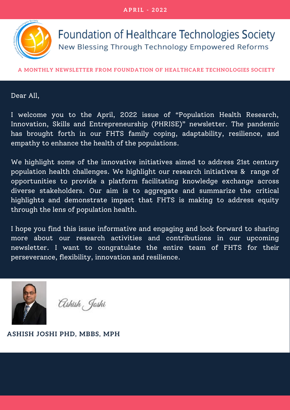**A P R I L - 2 0 2 2**



Foundation of Healthcare Technologies Society New Blessing Through Technology Empowered Reforms

**A MONTHLY NEWSLETTER FROM FOUNDATION OF HEALTHCARE TECHNOLOGIES SOCIETY**

#### Dear All,

I welcome you to the April, 2022 issue of "Population Health Research, Innovation, Skills and Entrepreneurship (PHRISE)" newsletter. The pandemic has brought forth in our FHTS family coping, adaptability, resilience, and empathy to enhance the health of the populations.

We highlight some of the innovative initiatives aimed to address 21st century population health challenges. We highlight our research initiatives & range of opportunities to provide a platform facilitating knowledge exchange across diverse stakeholders. Our aim is to aggregate and summarize the critical highlights and demonstrate impact that FHTS is making to address equity through the lens of population health.

I hope you find this issue informative and engaging and look forward to sharing more about our research activities and contributions in our upcoming newsletter. I want to congratulate the entire team of FHTS for their perseverance, flexibility, innovation and resilience.



Ashish, Joshi

**ASHISH JOSHI PHD, MBBS, MPH**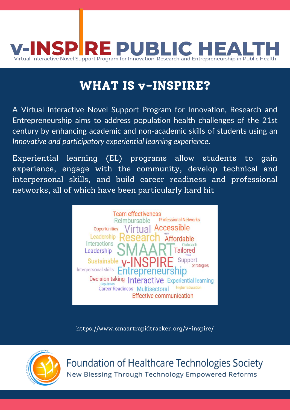

## **WHAT IS v-INSPIRE?**

A Virtual Interactive Novel Support Program for Innovation, Research and Entrepreneurship aims to address population health challenges of the 21st century by enhancing academic and non-academic skills of students using an *Innovative and participatory experiential learning experience*.

Experiential learning (EL) programs allow students to gain experience, engage with the community, develop technical and interpersonal skills, and build career readiness and professional networks, all of which have been particularly hard hit



<https://www.smaartrapidtracker.org/v-inspire/>



Foundation of Healthcare Technologies Society New Blessing Through Technology Empowered Reforms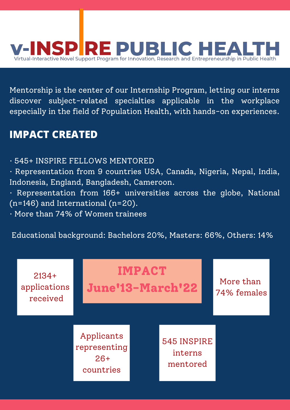

Mentorship is the center of our Internship Program, letting our interns discover subject-related specialties applicable in the workplace especially in the field of Population Health, with hands-on experiences.

### **IMPACT CREATED**

- · 545+ INSPIRE FELLOWS MENTORED
- · Representation from 9 countries USA, Canada, Nigeria, Nepal, India, Indonesia, England, Bangladesh, Cameroon.
- · Representation from 166+ universities across the globe, National (n=146) and International (n=20).
- · More than 74% of Women trainees

Educational background: Bachelors 20%, Masters: 66%, Others: 14%

| $2134+$<br>applications<br>received |                                                  | <b>IMPACT</b><br><b>June'13-March'22</b> |                                    |  | More than<br>74% females |
|-------------------------------------|--------------------------------------------------|------------------------------------------|------------------------------------|--|--------------------------|
|                                     | Applicants<br>representing<br>$26+$<br>countries |                                          | 545 INSPIRE<br>interns<br>mentored |  |                          |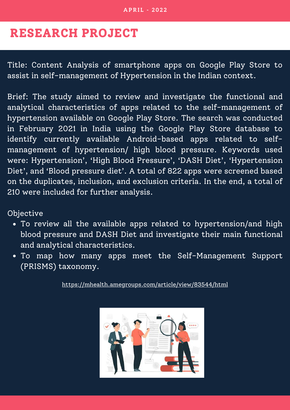## **RESEARCH PROJECT**

Title: Content Analysis of smartphone apps on Google Play Store to assist in self-management of Hypertension in the Indian context.

Brief: The study aimed to review and investigate the functional and analytical characteristics of apps related to the self-management of hypertension available on Google Play Store. The search was conducted in February 2021 in India using the Google Play Store database to identify currently available Android-based apps related to selfmanagement of hypertension/ high blood pressure. Keywords used were: Hypertension' , 'High Blood Pressure' , 'DASH Diet' , 'Hypertension Diet' , and 'Blood pressure diet'. A total of 822 apps were screened based on the duplicates, inclusion, and exclusion criteria. In the end, a total of 210 were included for further analysis.

Objective

- To review all the available apps related to hypertension/and high blood pressure and DASH Diet and investigate their main functional and analytical characteristics.
- To map how many apps meet the Self-Management Support (PRISMS) taxonomy.

<https://mhealth.amegroups.com/article/view/83544/html>

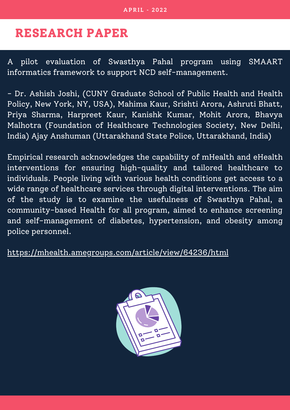## **RESEARCH PAPER**

A pilot evaluation of Swasthya Pahal program using SMAART informatics framework to support NCD self-management.

- Dr. Ashish Joshi, (CUNY Graduate School of Public Health and Health Policy, New York, NY, USA), Mahima Kaur, Srishti Arora, Ashruti Bhatt, Priya Sharma, Harpreet Kaur, Kanishk Kumar, Mohit Arora, Bhavya Malhotra (Foundation of Healthcare Technologies Society, New Delhi, India) Ajay Anshuman (Uttarakhand State Police, Uttarakhand, India)

Empirical research acknowledges the capability of mHealth and eHealth interventions for ensuring high-quality and tailored healthcare to individuals. People living with various health conditions get access to a wide range of healthcare services through digital interventions. The aim of the study is to examine the usefulness of Swasthya Pahal, a community-based Health for all program, aimed to enhance screening and self-management of diabetes, hypertension, and obesity among police personnel.

<https://mhealth.amegroups.com/article/view/64236/html>

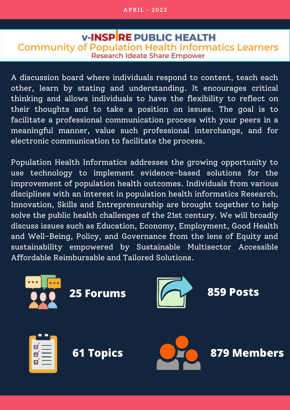#### **V-INSPRE PUBLIC HEALTH Community of Population Health Informatics Learners Research Ideate Share Empower**

A discussion board where individuals respond to content, teach each other, learn by stating and understanding. It encourages critical thinking and allows individuals to have the flexibility to reflect on their thoughts and to take a position on issues. The goal is to facilitate a professional communication process with your peers in a meaningful manner, value such professional interchange, and for electronic communication to facilitate the process.

Population Health Informatics addresses the growing opportunity to use technology to implement evidence-based solutions for the improvement of population health outcomes. Individuals from various disciplines with an interest in population health informatics Research, Innovation, Skills and Entrepreneurship are brought together to help solve the public health challenges of the 21st century. We will broadly discuss issues such as Education, Economy, Employment, Good Health and Well-Being, Policy, and Governance from the lens of Equity and sustainability empowered by Sustainable Multisector Accessible Affordable Reimbursable and Tailored Solutions.

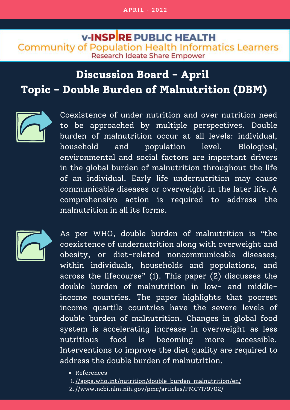#### **V-INSPRE PUBLIC HEALTH Community of Population Health Informatics Learners Research Ideate Share Empower**

# **Discussion Board - April Topic - Double Burden of Malnutrition (DBM)**



Coexistence of under nutrition and over nutrition need to be approached by multiple perspectives. Double burden of malnutrition occur at all levels: individual, household and population level. Biological, environmental and social factors are important drivers in the global burden of malnutrition throughout the life of an individual. Early life undernutrition may cause communicable diseases or overweight in the later life. A comprehensive action is required to address the malnutrition in all its forms.



As per WHO, double burden of malnutrition is "the coexistence of undernutrition along with overweight and obesity, or diet-related noncommunicable diseases, within individuals, households and populations, and across the lifecourse" (1). This paper (2) discusses the double burden of malnutrition in low- and middleincome countries. The paper highlights that poorest income quartile countries have the severe levels of double burden of malnutrition. Changes in global food system is accelerating increase in overweight as less nutritious food is becoming more accessible. Interventions to improve the diet quality are required to address the double burden of malnutrition.

References

[//apps.who.int/nutrition/double-burden-malnutrition/en/](https://apps.who.int/nutrition/double-burden-malnutrition/infographics/en/index.html) 1.

//www.ncbi.nlm.nih.gov/pmc/articles/PMC7179702/ 2.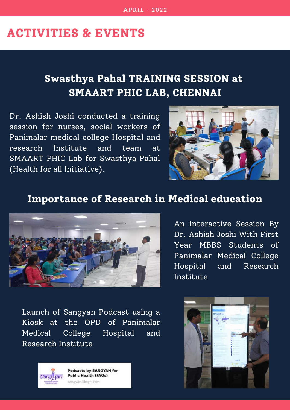### **ACTIVITIES & EVENTS**

## **Swasthya Pahal TRAINING SESSION at SMAART PHIC LAB, CHENNAI**

Dr. Ashish Joshi conducted a training session for nurses, social workers of Panimalar medical college Hospital and research Institute and team at SMAART PHIC Lab for Swasthya Pahal (Health for all Initiative).



### **Importance of Research in Medical education**



An Interactive Session By Dr. Ashish Joshi With First Year MBBS Students of Panimalar Medical College Hospital and Research Institute

Launch of Sangyan Podcast using a Kiosk at the OPD of Panimalar Medical College Hospital and Research Institute



Podcasts by SANGYAN for **Public Health (FAQs)** sangyan.libsyn.com